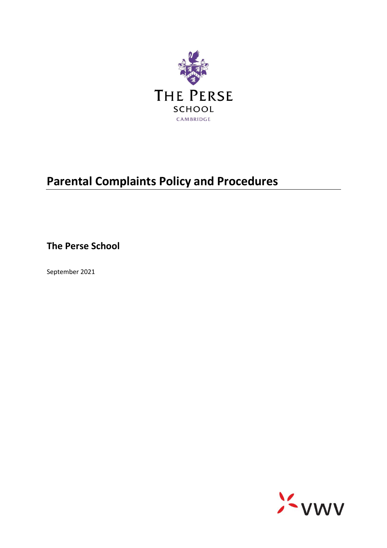

# **Parental Complaints Policy and Procedures**

**The Perse School**

September 2021

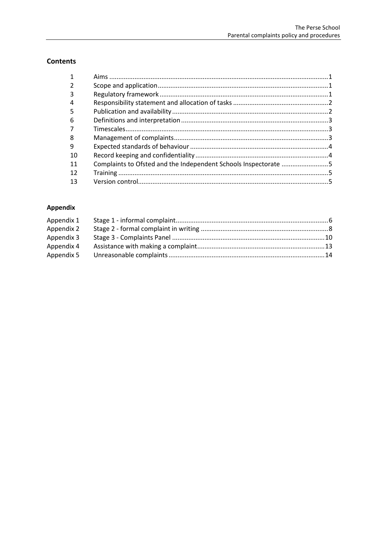# **Contents**

| 3  |  |
|----|--|
| 4  |  |
| 5  |  |
| 6  |  |
|    |  |
| 8  |  |
| 9  |  |
| 10 |  |
| 11 |  |
| 12 |  |
| 13 |  |

# Appendix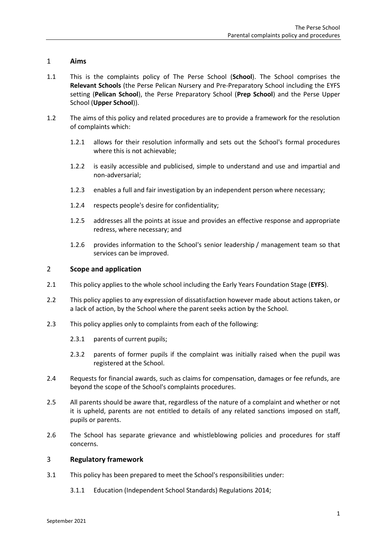# <span id="page-2-0"></span>1 **Aims**

- 1.1 This is the complaints policy of The Perse School (**School**). The School comprises the **Relevant Schools** (the Perse Pelican Nursery and Pre-Preparatory School including the EYFS setting (**Pelican School**), the Perse Preparatory School (**Prep School**) and the Perse Upper School (**Upper School**)).
- 1.2 The aims of this policy and related procedures are to provide a framework for the resolution of complaints which:
	- 1.2.1 allows for their resolution informally and sets out the School's formal procedures where this is not achievable;
	- 1.2.2 is easily accessible and publicised, simple to understand and use and impartial and non-adversarial;
	- 1.2.3 enables a full and fair investigation by an independent person where necessary;
	- 1.2.4 respects people's desire for confidentiality;
	- 1.2.5 addresses all the points at issue and provides an effective response and appropriate redress, where necessary; and
	- 1.2.6 provides information to the School's senior leadership / management team so that services can be improved.

#### <span id="page-2-1"></span>2 **Scope and application**

- 2.1 This policy applies to the whole school including the Early Years Foundation Stage (**EYFS**).
- 2.2 This policy applies to any expression of dissatisfaction however made about actions taken, or a lack of action, by the School where the parent seeks action by the School.
- 2.3 This policy applies only to complaints from each of the following:
	- 2.3.1 parents of current pupils;
	- 2.3.2 parents of former pupils if the complaint was initially raised when the pupil was registered at the School.
- 2.4 Requests for financial awards, such as claims for compensation, damages or fee refunds, are beyond the scope of the School's complaints procedures.
- 2.5 All parents should be aware that, regardless of the nature of a complaint and whether or not it is upheld, parents are not entitled to details of any related sanctions imposed on staff, pupils or parents.
- 2.6 The School has separate grievance and whistleblowing policies and procedures for staff concerns.

#### <span id="page-2-2"></span>3 **Regulatory framework**

- 3.1 This policy has been prepared to meet the School's responsibilities under:
	- 3.1.1 Education (Independent School Standards) Regulations 2014;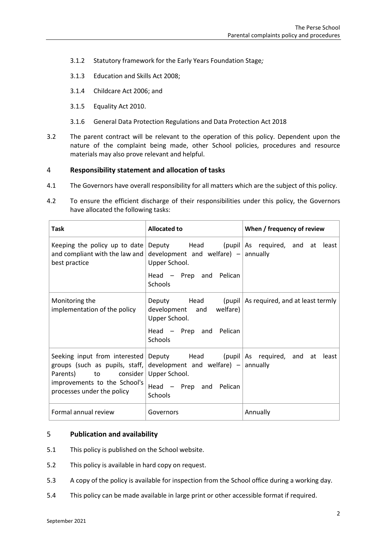- 3.1.2 Statutory framework for the Early Years Foundation Stage*;*
- 3.1.3 Education and Skills Act 2008;
- 3.1.4 Childcare Act 2006; and
- 3.1.5 Equality Act 2010.
- 3.1.6 General Data Protection Regulations and Data Protection Act 2018
- 3.2 The parent contract will be relevant to the operation of this policy. Dependent upon the nature of the complaint being made, other School policies, procedures and resource materials may also prove relevant and helpful.

# <span id="page-3-0"></span>4 **Responsibility statement and allocation of tasks**

- 4.1 The Governors have overall responsibility for all matters which are the subject of this policy.
- 4.2 To ensure the efficient discharge of their responsibilities under this policy, the Governors have allocated the following tasks:

| <b>Task</b>                                                                                                                                           | <b>Allocated to</b>                                                                                 | When / frequency of review                                  |
|-------------------------------------------------------------------------------------------------------------------------------------------------------|-----------------------------------------------------------------------------------------------------|-------------------------------------------------------------|
| Keeping the policy up to date<br>and compliant with the law and<br>best practice                                                                      | development and welfare) $-$ annually<br>Upper School.<br>Head - Prep and Pelican                   | Deputy Head (pupil As required, and at least                |
|                                                                                                                                                       | Schools                                                                                             |                                                             |
| Monitoring the<br>implementation of the policy                                                                                                        | Deputy Head<br>development and welfare)<br>Upper School.<br>Head $-$ Prep and<br>Pelican<br>Schools | (pupil $\vert$ As required, and at least termly             |
| Seeking input from interested<br>groups (such as pupils, staff,<br>Parents) to consider<br>improvements to the School's<br>processes under the policy | development and welfare) $-$ annually<br>Upper School.<br>Head - Prep and Pelican<br>Schools        | Deputy $\blacksquare$ Head (pupil As required, and at least |
| Formal annual review                                                                                                                                  | Governors                                                                                           | Annually                                                    |

## <span id="page-3-1"></span>5 **Publication and availability**

- 5.1 This policy is published on the School website.
- 5.2 This policy is available in hard copy on request.
- 5.3 A copy of the policy is available for inspection from the School office during a working day.
- 5.4 This policy can be made available in large print or other accessible format if required.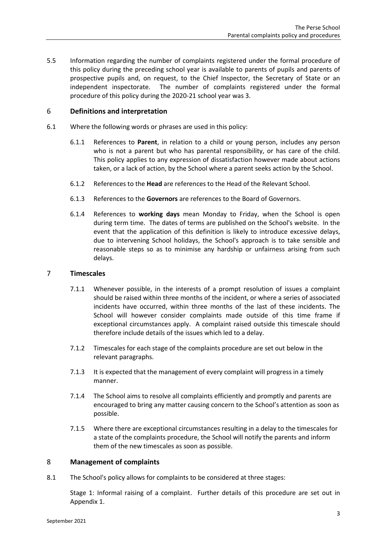5.5 Information regarding the number of complaints registered under the formal procedure of this policy during the preceding school year is available to parents of pupils and parents of prospective pupils and, on request, to the Chief Inspector, the Secretary of State or an independent inspectorate. The number of complaints registered under the formal procedure of this policy during the 2020-21 school year was 3.

# <span id="page-4-0"></span>6 **Definitions and interpretation**

- 6.1 Where the following words or phrases are used in this policy:
	- 6.1.1 References to **Parent**, in relation to a child or young person, includes any person who is not a parent but who has parental responsibility, or has care of the child. This policy applies to any expression of dissatisfaction however made about actions taken, or a lack of action, by the School where a parent seeks action by the School.
	- 6.1.2 References to the **Head** are references to the Head of the Relevant School.
	- 6.1.3 References to the **Governors** are references to the Board of Governors.
	- 6.1.4 References to **working days** mean Monday to Friday, when the School is open during term time. The dates of terms are published on the School's website. In the event that the application of this definition is likely to introduce excessive delays, due to intervening School holidays, the School's approach is to take sensible and reasonable steps so as to minimise any hardship or unfairness arising from such delays.

## <span id="page-4-1"></span>7 **Timescales**

- 7.1.1 Whenever possible, in the interests of a prompt resolution of issues a complaint should be raised within three months of the incident, or where a series of associated incidents have occurred, within three months of the last of these incidents. The School will however consider complaints made outside of this time frame if exceptional circumstances apply. A complaint raised outside this timescale should therefore include details of the issues which led to a delay.
- 7.1.2 Timescales for each stage of the complaints procedure are set out below in the relevant paragraphs.
- 7.1.3 It is expected that the management of every complaint will progress in a timely manner.
- 7.1.4 The School aims to resolve all complaints efficiently and promptly and parents are encouraged to bring any matter causing concern to the School's attention as soon as possible.
- 7.1.5 Where there are exceptional circumstances resulting in a delay to the timescales for a state of the complaints procedure, the School will notify the parents and inform them of the new timescales as soon as possible.

#### <span id="page-4-2"></span>8 **Management of complaints**

8.1 The School's policy allows for complaints to be considered at three stages:

Stage 1: Informal raising of a complaint. Further details of this procedure are set out in [Appendix 1.](#page-7-0)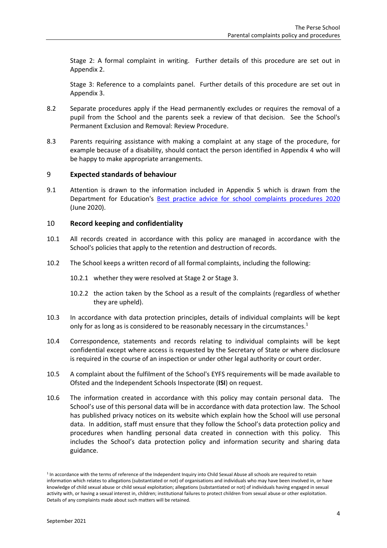Stage 2: A formal complaint in writing. Further details of this procedure are set out in [Appendix 2.](#page-9-0)

Stage 3: Reference to a complaints panel. Further details of this procedure are set out in [Appendix 3.](#page-11-0)

- 8.2 Separate procedures apply if the Head permanently excludes or requires the removal of a pupil from the School and the parents seek a review of that decision. See the School's Permanent Exclusion and Removal: Review Procedure.
- 8.3 Parents requiring assistance with making a complaint at any stage of the procedure, for example because of a disability, should contact the person identified in [Appendix 4](#page-14-0) who will be happy to make appropriate arrangements.

#### <span id="page-5-0"></span>9 **Expected standards of behaviour**

9.1 Attention is drawn to the information included in [Appendix 5](#page-15-0) which is drawn from the Department for Education's [Best practice advice for school](https://www.gov.uk/government/publications/school-complaints-procedures) complaints procedures 2020 (June 2020).

#### <span id="page-5-1"></span>10 **Record keeping and confidentiality**

- 10.1 All records created in accordance with this policy are managed in accordance with the School's policies that apply to the retention and destruction of records.
- 10.2 The School keeps a written record of all formal complaints, including the following:
	- 10.2.1 whether they were resolved at Stage 2 or Stage 3.
	- 10.2.2 the action taken by the School as a result of the complaints (regardless of whether they are upheld).
- 10.3 In accordance with data protection principles, details of individual complaints will be kept only for as long as is considered to be reasonably necessary in the circumstances.<sup>1</sup>
- 10.4 Correspondence, statements and records relating to individual complaints will be kept confidential except where access is requested by the Secretary of State or where disclosure is required in the course of an inspection or under other legal authority or court order.
- 10.5 A complaint about the fulfilment of the School's EYFS requirements will be made available to Ofsted and the Independent Schools Inspectorate (**ISI**) on request.
- 10.6 The information created in accordance with this policy may contain personal data. The School's use of this personal data will be in accordance with data protection law. The School has published privacy notices on its website which explain how the School will use personal data. In addition, staff must ensure that they follow the School's data protection policy and procedures when handling personal data created in connection with this policy. This includes the School's data protection policy and information security and sharing data guidance.

<sup>1</sup> In accordance with the terms of reference of the Independent Inquiry into Child Sexual Abuse all schools are required to retain information which relates to allegations (substantiated or not) of organisations and individuals who may have been involved in, or have knowledge of child sexual abuse or child sexual exploitation; allegations (substantiated or not) of individuals having engaged in sexual activity with, or having a sexual interest in, children; institutional failures to protect children from sexual abuse or other exploitation. Details of any complaints made about such matters will be retained.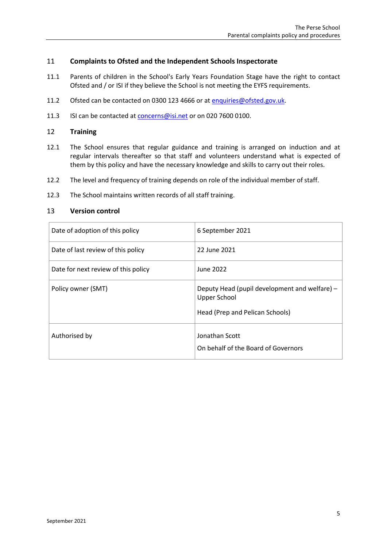# <span id="page-6-0"></span>11 **Complaints to Ofsted and the Independent Schools Inspectorate**

- 11.1 Parents of children in the School's Early Years Foundation Stage have the right to contact Ofsted and / or ISI if they believe the School is not meeting the EYFS requirements.
- 11.2 Ofsted can be contacted on 0300 123 4666 or at [enquiries@ofsted.gov.uk.](mailto:enquiries@ofsted.gov.uk)
- 11.3 ISI can be contacted a[t concerns@isi.net](mailto:concerns@isi.net) or on 020 7600 0100.

## <span id="page-6-1"></span>12 **Training**

- 12.1 The School ensures that regular guidance and training is arranged on induction and at regular intervals thereafter so that staff and volunteers understand what is expected of them by this policy and have the necessary knowledge and skills to carry out their roles.
- 12.2 The level and frequency of training depends on role of the individual member of staff.
- 12.3 The School maintains written records of all staff training.

## <span id="page-6-2"></span>13 **Version control**

| Date of adoption of this policy     | 6 September 2021                                                                                        |  |
|-------------------------------------|---------------------------------------------------------------------------------------------------------|--|
| Date of last review of this policy  | 22 June 2021                                                                                            |  |
| Date for next review of this policy | June 2022                                                                                               |  |
| Policy owner (SMT)                  | Deputy Head (pupil development and welfare) -<br><b>Upper School</b><br>Head (Prep and Pelican Schools) |  |
| Authorised by                       | Jonathan Scott<br>On behalf of the Board of Governors                                                   |  |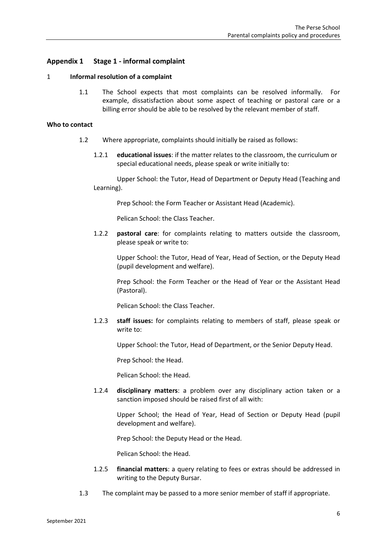# <span id="page-7-0"></span>**Appendix 1 Stage 1 - informal complaint**

#### 1 **Informal resolution of a complaint**

1.1 The School expects that most complaints can be resolved informally. For example, dissatisfaction about some aspect of teaching or pastoral care or a billing error should be able to be resolved by the relevant member of staff.

### **Who to contact**

- 1.2 Where appropriate, complaints should initially be raised as follows:
	- 1.2.1 **educational issues**: if the matter relates to the classroom, the curriculum or special educational needs, please speak or write initially to:

Upper School: the Tutor, Head of Department or Deputy Head (Teaching and Learning).

Prep School: the Form Teacher or Assistant Head (Academic).

Pelican School: the Class Teacher.

1.2.2 **pastoral care**: for complaints relating to matters outside the classroom, please speak or write to:

Upper School: the Tutor, Head of Year, Head of Section, or the Deputy Head (pupil development and welfare).

Prep School: the Form Teacher or the Head of Year or the Assistant Head (Pastoral).

Pelican School: the Class Teacher.

1.2.3 **staff issues:** for complaints relating to members of staff, please speak or write to:

Upper School: the Tutor, Head of Department, or the Senior Deputy Head.

Prep School: the Head.

Pelican School: the Head.

1.2.4 **disciplinary matters**: a problem over any disciplinary action taken or a sanction imposed should be raised first of all with:

Upper School; the Head of Year, Head of Section or Deputy Head (pupil development and welfare).

Prep School: the Deputy Head or the Head.

Pelican School: the Head.

- 1.2.5 **financial matters**: a query relating to fees or extras should be addressed in writing to the Deputy Bursar.
- 1.3 The complaint may be passed to a more senior member of staff if appropriate.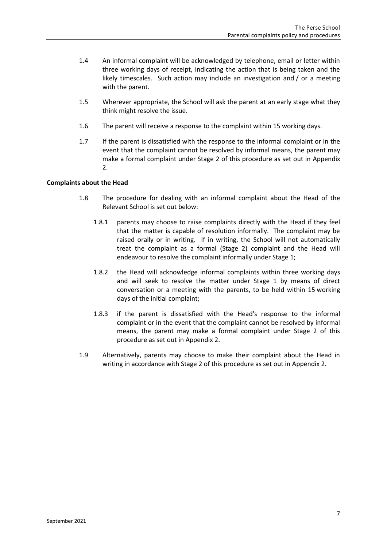- 1.4 An informal complaint will be acknowledged by telephone, email or letter within three working days of receipt, indicating the action that is being taken and the likely timescales. Such action may include an investigation and / or a meeting with the parent.
- 1.5 Wherever appropriate, the School will ask the parent at an early stage what they think might resolve the issue.
- 1.6 The parent will receive a response to the complaint within 15 working days.
- 1.7 If the parent is dissatisfied with the response to the informal complaint or in the event that the complaint cannot be resolved by informal means, the parent may make a formal complaint under Stage 2 of this procedure as set out in [Appendix](#page-9-0)  [2.](#page-9-0)

#### **Complaints about the Head**

- 1.8 The procedure for dealing with an informal complaint about the Head of the Relevant School is set out below:
	- 1.8.1 parents may choose to raise complaints directly with the Head if they feel that the matter is capable of resolution informally. The complaint may be raised orally or in writing. If in writing, the School will not automatically treat the complaint as a formal (Stage 2) complaint and the Head will endeavour to resolve the complaint informally under Stage 1;
	- 1.8.2 the Head will acknowledge informal complaints within three working days and will seek to resolve the matter under Stage 1 by means of direct conversation or a meeting with the parents, to be held within 15 working days of the initial complaint;
	- 1.8.3 if the parent is dissatisfied with the Head's response to the informal complaint or in the event that the complaint cannot be resolved by informal means, the parent may make a formal complaint under Stage 2 of this procedure as set out i[n Appendix 2.](#page-9-0)
- 1.9 Alternatively, parents may choose to make their complaint about the Head in writing in accordance with Stage 2 of this procedure as set out i[n Appendix 2.](#page-9-0)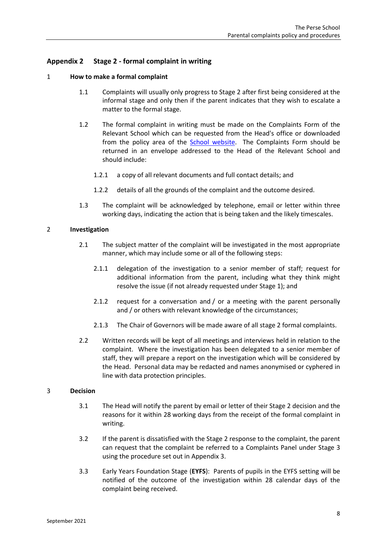# <span id="page-9-0"></span>**Appendix 2 Stage 2 - formal complaint in writing**

## 1 **How to make a formal complaint**

- 1.1 Complaints will usually only progress to Stage 2 after first being considered at the informal stage and only then if the parent indicates that they wish to escalate a matter to the formal stage.
- 1.2 The formal complaint in writing must be made on the Complaints Form of the Relevant School which can be requested from the Head's office or downloaded from the policy area of the School [website.](https://www.perse.co.uk/policies-inspection/) The Complaints Form should be returned in an envelope addressed to the Head of the Relevant School and should include:
	- 1.2.1 a copy of all relevant documents and full contact details; and
	- 1.2.2 details of all the grounds of the complaint and the outcome desired.
- 1.3 The complaint will be acknowledged by telephone, email or letter within three working days, indicating the action that is being taken and the likely timescales.

#### 2 **Investigation**

- 2.1 The subject matter of the complaint will be investigated in the most appropriate manner, which may include some or all of the following steps:
	- 2.1.1 delegation of the investigation to a senior member of staff; request for additional information from the parent, including what they think might resolve the issue (if not already requested under Stage 1); and
	- 2.1.2 request for a conversation and / or a meeting with the parent personally and / or others with relevant knowledge of the circumstances;
	- 2.1.3 The Chair of Governors will be made aware of all stage 2 formal complaints.
- 2.2 Written records will be kept of all meetings and interviews held in relation to the complaint. Where the investigation has been delegated to a senior member of staff, they will prepare a report on the investigation which will be considered by the Head. Personal data may be redacted and names anonymised or cyphered in line with data protection principles.

#### 3 **Decision**

- 3.1 The Head will notify the parent by email or letter of their Stage 2 decision and the reasons for it within 28 working days from the receipt of the formal complaint in writing.
- 3.2 If the parent is dissatisfied with the Stage 2 response to the complaint, the parent can request that the complaint be referred to a Complaints Panel under Stage 3 using the procedure set out i[n Appendix 3.](#page-11-0)
- 3.3 Early Years Foundation Stage (**EYFS**): Parents of pupils in the EYFS setting will be notified of the outcome of the investigation within 28 calendar days of the complaint being received.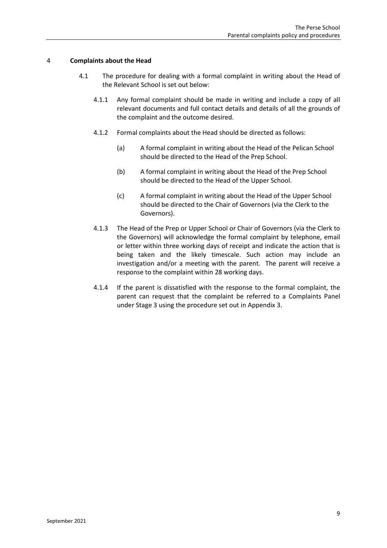## 4 **Complaints about the Head**

- 4.1 The procedure for dealing with a formal complaint in writing about the Head of the Relevant School is set out below:
	- 4.1.1 Any formal complaint should be made in writing and include a copy of all relevant documents and full contact details and details of all the grounds of the complaint and the outcome desired.
	- 4.1.2 Formal complaints about the Head should be directed as follows:
		- (a) A formal complaint in writing about the Head of the Pelican School should be directed to the Head of the Prep School.
		- (b) A formal complaint in writing about the Head of the Prep School should be directed to the Head of the Upper School.
		- (c) A formal complaint in writing about the Head of the Upper School should be directed to the Chair of Governors (via the Clerk to the Governors).
	- 4.1.3 The Head of the Prep or Upper School or Chair of Governors (via the Clerk to the Governors) will acknowledge the formal complaint by telephone, email or letter within three working days of receipt and indicate the action that is being taken and the likely timescale. Such action may include an investigation and/or a meeting with the parent. The parent will receive a response to the complaint within 28 working days.
	- 4.1.4 If the parent is dissatisfied with the response to the formal complaint, the parent can request that the complaint be referred to a Complaints Panel under Stage 3 using the procedure set out in [Appendix 3.](#page-11-0)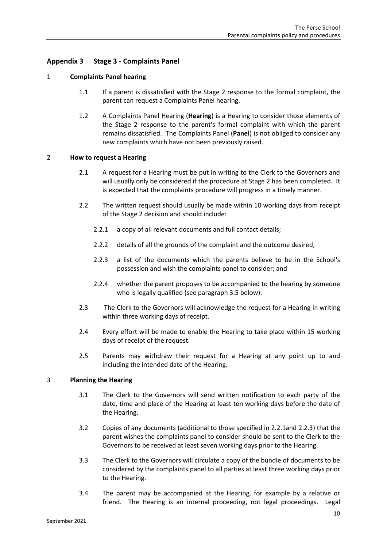# <span id="page-11-0"></span>**Appendix 3 Stage 3 - Complaints Panel**

#### 1 **Complaints Panel hearing**

- 1.1 If a parent is dissatisfied with the Stage 2 response to the formal complaint, the parent can request a Complaints Panel hearing.
- 1.2 A Complaints Panel Hearing (**Hearing**) is a Hearing to consider those elements of the Stage 2 response to the parent's formal complaint with which the parent remains dissatisfied. The Complaints Panel (**Panel**) is not obliged to consider any new complaints which have not been previously raised.

#### 2 **How to request a Hearing**

- 2.1 A request for a Hearing must be put in writing to the Clerk to the Governors and will usually only be considered if the procedure at Stage 2 has been completed. It is expected that the complaints procedure will progress in a timely manner.
- <span id="page-11-1"></span>2.2 The written request should usually be made within 10 working days from receipt of the Stage 2 decision and should include:
	- 2.2.1 a copy of all relevant documents and full contact details;
	- 2.2.2 details of all the grounds of the complaint and the outcome desired;
	- 2.2.3 a list of the documents which the parents believe to be in the School's possession and wish the complaints panel to consider; and
	- 2.2.4 whether the parent proposes to be accompanied to the hearing by someone who is legally qualified (see paragraph [3.5](#page-12-0) below).
- <span id="page-11-3"></span><span id="page-11-2"></span>2.3 The Clerk to the Governors will acknowledge the request for a Hearing in writing within three working days of receipt.
- 2.4 Every effort will be made to enable the Hearing to take place within 15 working days of receipt of the request.
- 2.5 Parents may withdraw their request for a Hearing at any point up to and including the intended date of the Hearing.

#### 3 **Planning the Hearing**

- 3.1 The Clerk to the Governors will send written notification to each party of the date, time and place of the Hearing at least ten working days before the date of the Hearing.
- 3.2 Copies of any documents (additional to those specified in [2.2.1a](#page-11-1)nd [2.2.3\)](#page-11-2) that the parent wishes the complaints panel to consider should be sent to the Clerk to the Governors to be received at least seven working days prior to the Hearing.
- 3.3 The Clerk to the Governors will circulate a copy of the bundle of documents to be considered by the complaints panel to all parties at least three working days prior to the Hearing.
- 3.4 The parent may be accompanied at the Hearing, for example by a relative or friend. The Hearing is an internal proceeding, not legal proceedings. Legal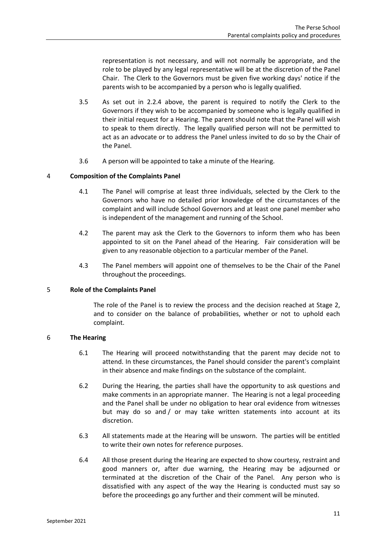representation is not necessary, and will not normally be appropriate, and the role to be played by any legal representative will be at the discretion of the Panel Chair. The Clerk to the Governors must be given five working days' notice if the parents wish to be accompanied by a person who is legally qualified.

- <span id="page-12-0"></span>3.5 As set out in [2.2.4](#page-11-3) above, the parent is required to notify the Clerk to the Governors if they wish to be accompanied by someone who is legally qualified in their initial request for a Hearing. The parent should note that the Panel will wish to speak to them directly. The legally qualified person will not be permitted to act as an advocate or to address the Panel unless invited to do so by the Chair of the Panel.
- 3.6 A person will be appointed to take a minute of the Hearing.

#### 4 **Composition of the Complaints Panel**

- 4.1 The Panel will comprise at least three individuals, selected by the Clerk to the Governors who have no detailed prior knowledge of the circumstances of the complaint and will include School Governors and at least one panel member who is independent of the management and running of the School.
- 4.2 The parent may ask the Clerk to the Governors to inform them who has been appointed to sit on the Panel ahead of the Hearing. Fair consideration will be given to any reasonable objection to a particular member of the Panel.
- 4.3 The Panel members will appoint one of themselves to be the Chair of the Panel throughout the proceedings.

#### 5 **Role of the Complaints Panel**

The role of the Panel is to review the process and the decision reached at Stage 2, and to consider on the balance of probabilities, whether or not to uphold each complaint.

#### 6 **The Hearing**

- 6.1 The Hearing will proceed notwithstanding that the parent may decide not to attend. In these circumstances, the Panel should consider the parent's complaint in their absence and make findings on the substance of the complaint.
- 6.2 During the Hearing, the parties shall have the opportunity to ask questions and make comments in an appropriate manner. The Hearing is not a legal proceeding and the Panel shall be under no obligation to hear oral evidence from witnesses but may do so and / or may take written statements into account at its discretion.
- 6.3 All statements made at the Hearing will be unsworn. The parties will be entitled to write their own notes for reference purposes.
- 6.4 All those present during the Hearing are expected to show courtesy, restraint and good manners or, after due warning, the Hearing may be adjourned or terminated at the discretion of the Chair of the Panel. Any person who is dissatisfied with any aspect of the way the Hearing is conducted must say so before the proceedings go any further and their comment will be minuted.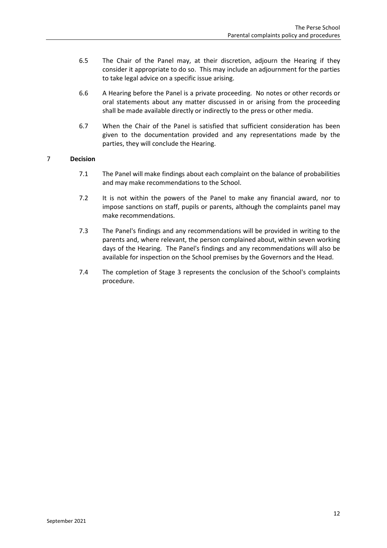- 6.5 The Chair of the Panel may, at their discretion, adjourn the Hearing if they consider it appropriate to do so. This may include an adjournment for the parties to take legal advice on a specific issue arising.
- 6.6 A Hearing before the Panel is a private proceeding. No notes or other records or oral statements about any matter discussed in or arising from the proceeding shall be made available directly or indirectly to the press or other media.
- 6.7 When the Chair of the Panel is satisfied that sufficient consideration has been given to the documentation provided and any representations made by the parties, they will conclude the Hearing.

# 7 **Decision**

- 7.1 The Panel will make findings about each complaint on the balance of probabilities and may make recommendations to the School.
- 7.2 It is not within the powers of the Panel to make any financial award, nor to impose sanctions on staff, pupils or parents, although the complaints panel may make recommendations.
- 7.3 The Panel's findings and any recommendations will be provided in writing to the parents and, where relevant, the person complained about, within seven working days of the Hearing. The Panel's findings and any recommendations will also be available for inspection on the School premises by the Governors and the Head.
- 7.4 The completion of Stage 3 represents the conclusion of the School's complaints procedure.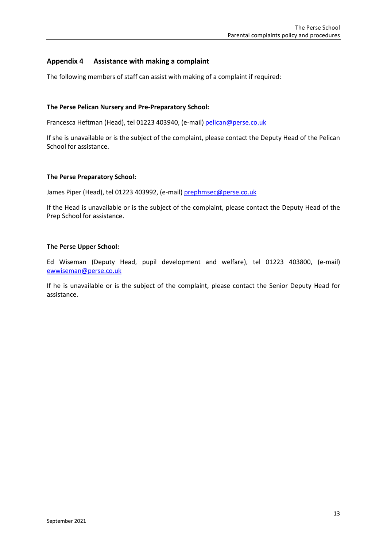# <span id="page-14-0"></span>**Appendix 4 Assistance with making a complaint**

The following members of staff can assist with making of a complaint if required:

# **The Perse Pelican Nursery and Pre-Preparatory School:**

Francesca Heftman (Head), tel 01223 403940, (e-mail) [pelican@perse.co.uk](mailto:pelican@perse.co.uk)

If she is unavailable or is the subject of the complaint, please contact the Deputy Head of the Pelican School for assistance.

#### **The Perse Preparatory School:**

James Piper (Head), tel 01223 403992, (e-mail) [prephmsec@perse.co.uk](mailto:prephmsec@perse.co.uk)

If the Head is unavailable or is the subject of the complaint, please contact the Deputy Head of the Prep School for assistance.

#### **The Perse Upper School:**

Ed Wiseman (Deputy Head, pupil development and welfare), tel 01223 403800, (e-mail) [ewwiseman@perse.co.uk](mailto:ewwiseman@perse.co.uk)

If he is unavailable or is the subject of the complaint, please contact the Senior Deputy Head for assistance.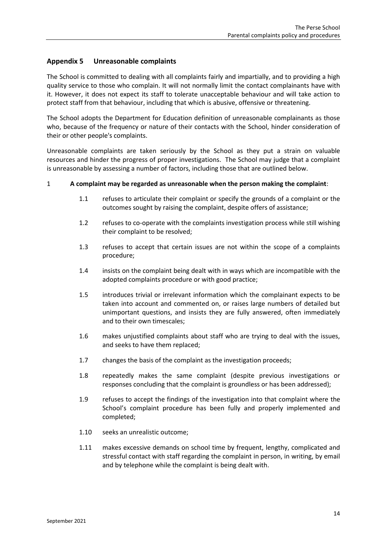# <span id="page-15-0"></span>**Appendix 5 Unreasonable complaints**

The School is committed to dealing with all complaints fairly and impartially, and to providing a high quality service to those who complain. It will not normally limit the contact complainants have with it. However, it does not expect its staff to tolerate unacceptable behaviour and will take action to protect staff from that behaviour, including that which is abusive, offensive or threatening.

The School adopts the Department for Education definition of unreasonable complainants as those who, because of the frequency or nature of their contacts with the School, hinder consideration of their or other people's complaints.

Unreasonable complaints are taken seriously by the School as they put a strain on valuable resources and hinder the progress of proper investigations. The School may judge that a complaint is unreasonable by assessing a number of factors, including those that are outlined below.

#### 1 **A complaint may be regarded as unreasonable when the person making the complaint**:

- 1.1 refuses to articulate their complaint or specify the grounds of a complaint or the outcomes sought by raising the complaint, despite offers of assistance;
- 1.2 refuses to co-operate with the complaints investigation process while still wishing their complaint to be resolved;
- 1.3 refuses to accept that certain issues are not within the scope of a complaints procedure;
- 1.4 insists on the complaint being dealt with in ways which are incompatible with the adopted complaints procedure or with good practice;
- 1.5 introduces trivial or irrelevant information which the complainant expects to be taken into account and commented on, or raises large numbers of detailed but unimportant questions, and insists they are fully answered, often immediately and to their own timescales;
- 1.6 makes unjustified complaints about staff who are trying to deal with the issues, and seeks to have them replaced;
- 1.7 changes the basis of the complaint as the investigation proceeds;
- 1.8 repeatedly makes the same complaint (despite previous investigations or responses concluding that the complaint is groundless or has been addressed);
- 1.9 refuses to accept the findings of the investigation into that complaint where the School's complaint procedure has been fully and properly implemented and completed;
- 1.10 seeks an unrealistic outcome;
- 1.11 makes excessive demands on school time by frequent, lengthy, complicated and stressful contact with staff regarding the complaint in person, in writing, by email and by telephone while the complaint is being dealt with.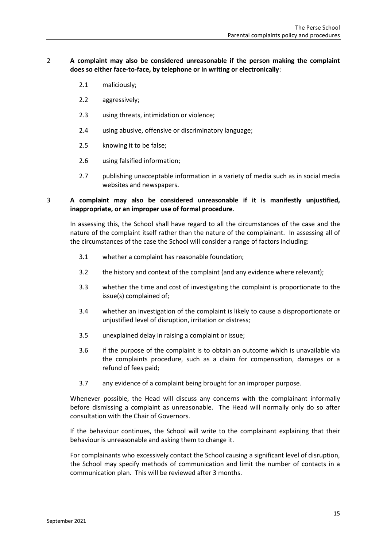# 2 **A complaint may also be considered unreasonable if the person making the complaint does so either face-to-face, by telephone or in writing or electronically**:

- 2.1 maliciously;
- 2.2 aggressively;
- 2.3 using threats, intimidation or violence;
- 2.4 using abusive, offensive or discriminatory language;
- 2.5 knowing it to be false;
- 2.6 using falsified information;
- 2.7 publishing unacceptable information in a variety of media such as in social media websites and newspapers.

# 3 **A complaint may also be considered unreasonable if it is manifestly unjustified, inappropriate, or an improper use of formal procedure**.

In assessing this, the School shall have regard to all the circumstances of the case and the nature of the complaint itself rather than the nature of the complainant. In assessing all of the circumstances of the case the School will consider a range of factors including:

- 3.1 whether a complaint has reasonable foundation;
- 3.2 the history and context of the complaint (and any evidence where relevant);
- 3.3 whether the time and cost of investigating the complaint is proportionate to the issue(s) complained of;
- 3.4 whether an investigation of the complaint is likely to cause a disproportionate or unjustified level of disruption, irritation or distress;
- 3.5 unexplained delay in raising a complaint or issue;
- 3.6 if the purpose of the complaint is to obtain an outcome which is unavailable via the complaints procedure, such as a claim for compensation, damages or a refund of fees paid;
- 3.7 any evidence of a complaint being brought for an improper purpose.

Whenever possible, the Head will discuss any concerns with the complainant informally before dismissing a complaint as unreasonable. The Head will normally only do so after consultation with the Chair of Governors.

If the behaviour continues, the School will write to the complainant explaining that their behaviour is unreasonable and asking them to change it.

For complainants who excessively contact the School causing a significant level of disruption, the School may specify methods of communication and limit the number of contacts in a communication plan. This will be reviewed after 3 months.